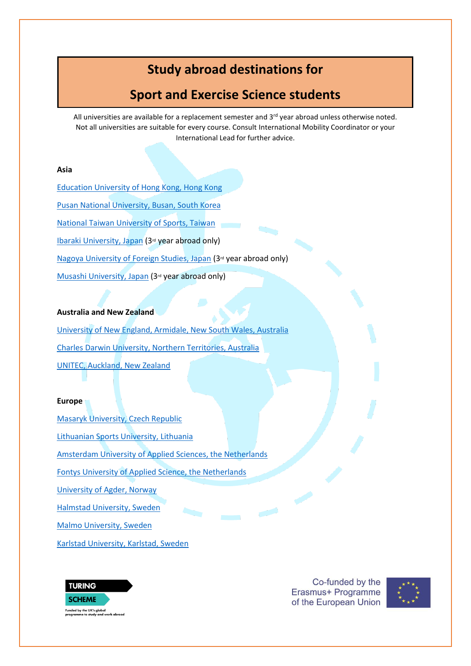# **Study abroad destinations for**

# **Sport and Exercise Science students**

All universities are available for a replacement semester and  $3<sup>rd</sup>$  year abroad unless otherwise noted. Not all universities are suitable for every course. Consult International Mobility Coordinator or your International Lead for further advice.

### **Asia**

[Education University of Hong Kong, Hong Kong](https://www.eduhk.hk/gao/en/page_content.php?level=3&id=77) [Pusan National University, Busan, South Korea](https://www.pusan.ac.kr/eng/Main.do%22%20%EF%BF%BDHYPERLINK%20%22https:/his.pusan.ac.kr/international_eng/41561/subview.do) [National Taiwan University of Sports, Taiwan](https://eng.ntus.edu.tw/index.php?code=list&ids=828) [Ibaraki University, Japan](https://www.pusan.ac.kr/eng/Main.do%22%20%EF%BF%BDHYPERLINK%20%22https:/www.ibaraki.ac.jp/en/international-exchange-program/) (3rd year abroad only) [Nagoya University of Foreign Studies, Japan](https://en.nagoya-u.ac.jp/admissions/academic_exchange_students/index.html) (3<sup>rd</sup> year abroad only) [Musashi University, Japan](https://www.musashi.ac.jp/english/gec/for_students.html) (3rd year abroad only)

#### **Australia and New Zealand**

[University of New England, Armidale, New South Wales, Australia](https://www.une.edu.au/study/international) [Charles Darwin University, Northern Territories, Australia](https://www.cdu.edu.au/international) [UNITEC, Auckland, New Zealand](https://www.unitec.ac.nz/international) 

#### **Europe**

[Masaryk University, Czech Republic](https://www.muni.cz/en/admissions/exchange-programmes) [Lithuanian Sports University, Lithuania](https://www.lsu.lt/en/studies/exchange-students/) [Amsterdam University of Applied Sciences, the Netherlands](https://www.amsterdamuas.com/education/exchange/exchange.html) [Fontys University of Applied Science, the Netherlands](https://fontys.edu/Exchange-programmes-5.htm) [University of Agder, Norway](https://www.google.com/url?sa=t&rct=j&q=&esrc=s&source=web&cd=&ved=2ahUKEwjlk-WavKbyAhVyh_0HHacUDcAQFnoECAgQAQ&url=https%3A%2F%2Fwww.uia.no%2Fen%2Fstudies%2Fexchange-students&usg=AOvVaw2lwcFd9OEgxS7IdexhG2JF) [Halmstad University, Sweden](https://www.hh.se/english/education/find-courses-for-exchange-students.html) [Malmo University, Sweden](https://mau.se/en/education/apply-for-exchange-studies/) [Karlstad University, Karlstad, Sweden](https://www.kau.se/en/exchange-studies-karlstad-university)



Co-funded by the Erasmus+ Programme of the European Union